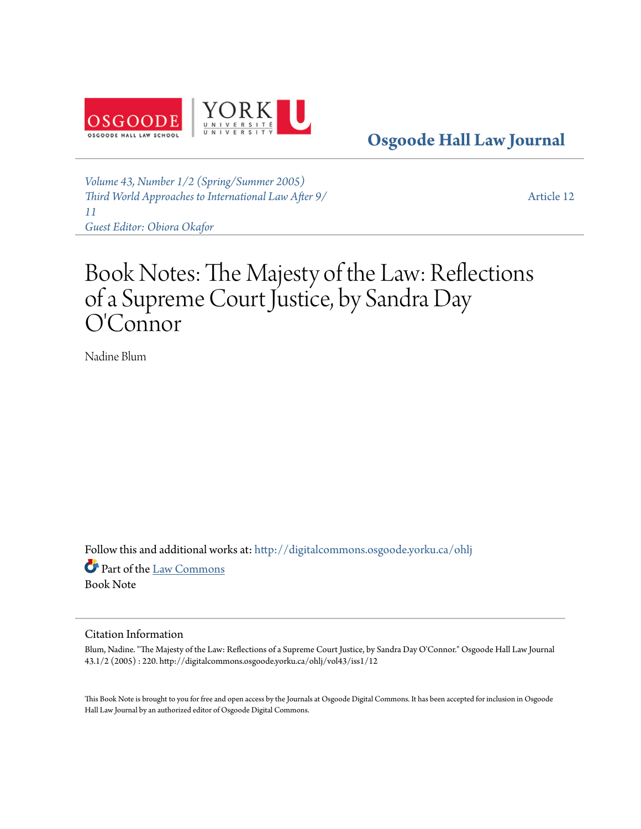

**[Osgoode Hall Law Journal](http://digitalcommons.osgoode.yorku.ca/ohlj?utm_source=digitalcommons.osgoode.yorku.ca%2Fohlj%2Fvol43%2Fiss1%2F12&utm_medium=PDF&utm_campaign=PDFCoverPages)**

*[Volume 43, Number 1/2 \(Spring/Summer 2005\)](http://digitalcommons.osgoode.yorku.ca/ohlj/vol43/iss1?utm_source=digitalcommons.osgoode.yorku.ca%2Fohlj%2Fvol43%2Fiss1%2F12&utm_medium=PDF&utm_campaign=PDFCoverPages) [Third World Approaches to International Law After 9/](http://digitalcommons.osgoode.yorku.ca/ohlj/vol43/iss1?utm_source=digitalcommons.osgoode.yorku.ca%2Fohlj%2Fvol43%2Fiss1%2F12&utm_medium=PDF&utm_campaign=PDFCoverPages) [11](http://digitalcommons.osgoode.yorku.ca/ohlj/vol43/iss1?utm_source=digitalcommons.osgoode.yorku.ca%2Fohlj%2Fvol43%2Fiss1%2F12&utm_medium=PDF&utm_campaign=PDFCoverPages) [Guest Editor: Obiora Okafor](http://digitalcommons.osgoode.yorku.ca/ohlj/vol43/iss1?utm_source=digitalcommons.osgoode.yorku.ca%2Fohlj%2Fvol43%2Fiss1%2F12&utm_medium=PDF&utm_campaign=PDFCoverPages)*

[Article 12](http://digitalcommons.osgoode.yorku.ca/ohlj/vol43/iss1/12?utm_source=digitalcommons.osgoode.yorku.ca%2Fohlj%2Fvol43%2Fiss1%2F12&utm_medium=PDF&utm_campaign=PDFCoverPages)

## Book Notes: The Majesty of the Law: Reflections of a Supreme Court Justice, by Sandra Day O'Connor

Nadine Blum

Follow this and additional works at: [http://digitalcommons.osgoode.yorku.ca/ohlj](http://digitalcommons.osgoode.yorku.ca/ohlj?utm_source=digitalcommons.osgoode.yorku.ca%2Fohlj%2Fvol43%2Fiss1%2F12&utm_medium=PDF&utm_campaign=PDFCoverPages)

Part of the [Law Commons](http://network.bepress.com/hgg/discipline/578?utm_source=digitalcommons.osgoode.yorku.ca%2Fohlj%2Fvol43%2Fiss1%2F12&utm_medium=PDF&utm_campaign=PDFCoverPages) Book Note

## Citation Information

Blum, Nadine. "The Majesty of the Law: Reflections of a Supreme Court Justice, by Sandra Day O'Connor." Osgoode Hall Law Journal 43.1/2 (2005) : 220. http://digitalcommons.osgoode.yorku.ca/ohlj/vol43/iss1/12

This Book Note is brought to you for free and open access by the Journals at Osgoode Digital Commons. It has been accepted for inclusion in Osgoode Hall Law Journal by an authorized editor of Osgoode Digital Commons.